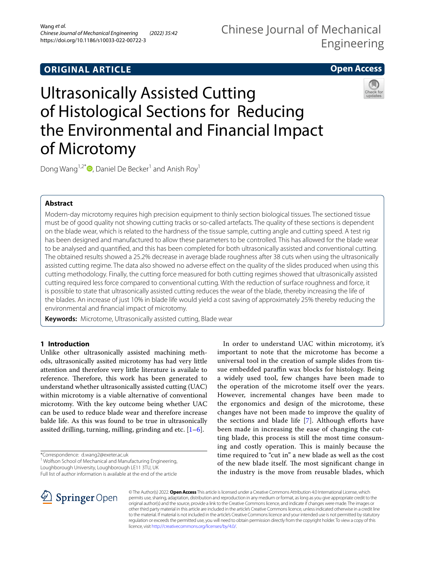## **ORIGINAL ARTICLE**

## Chinese Journal of Mechanical Engineering

## **Open Access**

# Ultrasonically Assisted Cutting of Histological Sections for Reducing the Environmental and Financial Impact of Microtomy



Dong Wang<sup>1,2[\\*](http://orcid.org/0000-0003-1496-5308)</sup> $\bullet$ , Daniel De Becker<sup>1</sup> and Anish Roy<sup>1</sup>

## **Abstract**

Modern-day microtomy requires high precision equipment to thinly section biological tissues. The sectioned tissue must be of good quality not showing cutting tracks or so-called artefacts. The quality of these sections is dependent on the blade wear, which is related to the hardness of the tissue sample, cutting angle and cutting speed. A test rig has been designed and manufactured to allow these parameters to be controlled. This has allowed for the blade wear to be analysed and quantifed, and this has been completed for both ultrasonically assisted and conventional cutting. The obtained results showed a 25.2% decrease in average blade roughness after 38 cuts when using the ultrasonically assisted cutting regime. The data also showed no adverse efect on the quality of the slides produced when using this cutting methodology. Finally, the cutting force measured for both cutting regimes showed that ultrasonically assisted cutting required less force compared to conventional cutting. With the reduction of surface roughness and force, it is possible to state that ultrasonically assisted cutting reduces the wear of the blade, thereby increasing the life of the blades. An increase of just 10% in blade life would yield a cost saving of approximately 25% thereby reducing the environmental and fnancial impact of microtomy.

**Keywords:** Microtome, Ultrasonically assisted cutting, Blade wear

## **1 Introduction**

Unlike other ultrasonically assisted machining methods, ultrasonically assited microtomy has had very little attention and therefore very little literature is availale to reference. Therefore, this work has been generated to understand whether ultrasonically assisted cutting (UAC) within microtomy is a viable alternative of conventional microtomy. With the key outcome being whether UAC can be used to reduce blade wear and therefore increase balde life. As this was found to be true in ultrasonically assited drilling, turning, milling, grinding and etc.  $[1-6]$  $[1-6]$ .

\*Correspondence: d.wang2@exeter.ac.uk

<sup>1</sup> Wolfson School of Mechanical and Manufacturing Engineering,

Loughborough University, Loughborough LE11 3TU, UK

Full list of author information is available at the end of the article

In order to understand UAC within microtomy, it's important to note that the microtome has become a universal tool in the creation of sample slides from tissue embedded paraffin wax blocks for histology. Being a widely used tool, few changes have been made to the operation of the microtome itself over the years. However, incremental changes have been made to the ergonomics and design of the microtome, these changes have not been made to improve the quality of the sections and blade life  $[7]$  $[7]$ . Although efforts have been made in increasing the ease of changing the cutting blade, this process is still the most time consuming and costly operation. This is mainly because the time required to "cut in" a new blade as well as the cost of the new blade itself. The most significant change in the industry is the move from reusable blades, which



© The Author(s) 2022. **Open Access** This article is licensed under a Creative Commons Attribution 4.0 International License, which permits use, sharing, adaptation, distribution and reproduction in any medium or format, as long as you give appropriate credit to the original author(s) and the source, provide a link to the Creative Commons licence, and indicate if changes were made. The images or other third party material in this article are included in the article's Creative Commons licence, unless indicated otherwise in a credit line to the material. If material is not included in the article's Creative Commons licence and your intended use is not permitted by statutory regulation or exceeds the permitted use, you will need to obtain permission directly from the copyright holder. To view a copy of this licence, visit [http://creativecommons.org/licenses/by/4.0/.](http://creativecommons.org/licenses/by/4.0/)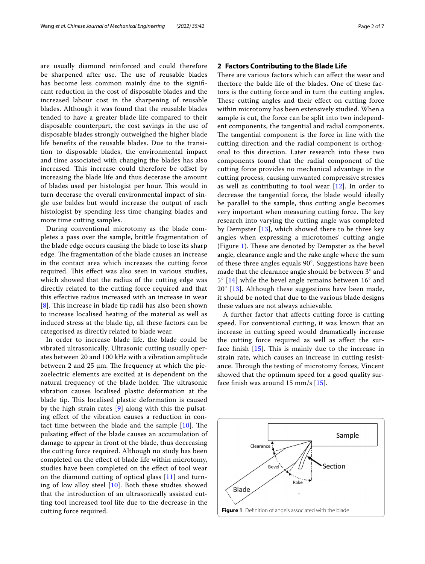are usually diamond reinforced and could therefore be sharpened after use. The use of reusable blades has become less common mainly due to the signifcant reduction in the cost of disposable blades and the increased labour cost in the sharpening of reusable blades. Although it was found that the reusable blades tended to have a greater blade life compared to their disposable counterpart, the cost savings in the use of disposable blades strongly outweighed the higher blade life benefts of the reusable blades. Due to the transition to disposable blades, the environmental impact and time associated with changing the blades has also increased. This increase could therefore be offset by increasing the blade life and thus decerase the amount of blades used per histologist per hour. This would in turn decerase the overall environmental impact of single use baldes but would increase the output of each histologist by spending less time changing blades and more time cutting samples.

During conventional microtomy as the blade completes a pass over the sample, brittle fragmentation of the blade edge occurs causing the blade to lose its sharp edge. The fragmentation of the blade causes an increase in the contact area which increases the cutting force required. This effect was also seen in various studies, which showed that the radius of the cutting edge was directly related to the cutting force required and that this efective radius increased with an increase in wear  $[8]$  $[8]$  $[8]$ . This increase in blade tip radii has also been shown to increase localised heating of the material as well as induced stress at the blade tip, all these factors can be categorised as directly related to blade wear.

In order to increase blade life, the blade could be vibrated ultrasonically. Ultrasonic cutting usually operates between 20 and 100 kHz with a vibration amplitude between 2 and 25  $\mu$ m. The frequency at which the piezoelectric elements are excited at is dependent on the natural frequency of the blade holder. The ultrasonic vibration causes localised plastic deformation at the blade tip. This localised plastic deformation is caused by the high strain rates [[9\]](#page-6-4) along with this the pulsating efect of the vibration causes a reduction in contact time between the blade and the sample  $[10]$ . The pulsating efect of the blade causes an accumulation of damage to appear in front of the blade, thus decreasing the cutting force required. Although no study has been completed on the efect of blade life within microtomy, studies have been completed on the efect of tool wear on the diamond cutting of optical glass [[11\]](#page-6-6) and turning of low alloy steel [\[10](#page-6-5)]. Both these studies showed that the introduction of an ultrasonically assisted cutting tool increased tool life due to the decrease in the cutting force required.

There are various factors which can affect the wear and therfore the balde life of the blades. One of these factors is the cutting force and in turn the cutting angles. These cutting angles and their effect on cutting force within microtomy has been extensively studied. When a sample is cut, the force can be split into two independent components, the tangential and radial components. The tangential component is the force in line with the cutting direction and the radial component is orthogonal to this direction. Later research into these two components found that the radial component of the cutting force provides no mechanical advantage in the cutting process, causing unwanted compressive stresses as well as contributing to tool wear [[12\]](#page-6-7). In order to decrease the tangential force, the blade would ideally be parallel to the sample, thus cutting angle becomes very important when measuring cutting force. The key research into varying the cutting angle was completed by Dempster [[13](#page-6-8)], which showed there to be three key angles when expressing a microtomes' cutting angle (Figure [1\)](#page-1-0). These are denoted by Dempster as the bevel angle, clearance angle and the rake angle where the sum of these three angles equals 90◦ . Suggestions have been made that the clearance angle should be between  $3^\circ$  and  $5^{\circ}$  [[14](#page-6-9)] while the bevel angle remains between 16 $^{\circ}$  and  $20^\circ$  [\[13](#page-6-8)]. Although these suggestions have been made, it should be noted that due to the various blade designs these values are not always achievable.

A further factor that afects cutting force is cutting speed. For conventional cutting, it was known that an increase in cutting speed would dramatically increase the cutting force required as well as afect the surface finish  $[15]$ . This is mainly due to the increase in strain rate, which causes an increase in cutting resistance. Through the testing of microtomy forces, Vincent showed that the optimum speed for a good quality surface fnish was around 15 mm/s [\[15\]](#page-6-10).

<span id="page-1-0"></span>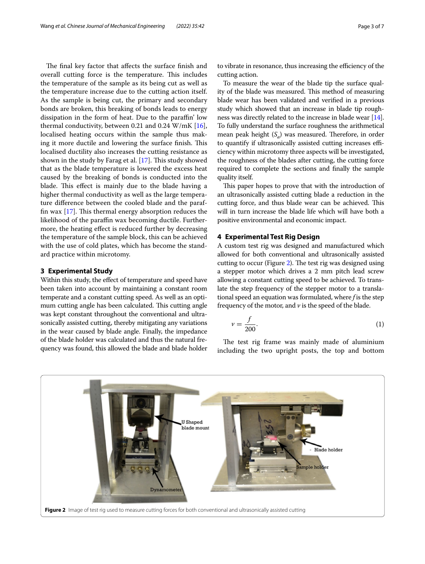The final key factor that affects the surface finish and overall cutting force is the temperature. This includes the temperature of the sample as its being cut as well as the temperature increase due to the cutting action itself. As the sample is being cut, the primary and secondary bonds are broken, this breaking of bonds leads to energy dissipation in the form of heat. Due to the paraffin' low thermal conductivity, between 0.21 and 0.24 W/mK  $[16]$  $[16]$ , localised heating occurs within the sample thus making it more ductile and lowering the surface finish. This localised ductility also increases the cutting resistance as shown in the study by Farag et al.  $[17]$  $[17]$  $[17]$ . This study showed that as the blade temperature is lowered the excess heat caused by the breaking of bonds is conducted into the blade. This effect is mainly due to the blade having a higher thermal conductivity as well as the large temperature diference between the cooled blade and the paraffin wax  $[17]$  $[17]$ . This thermal energy absorption reduces the likelihood of the paraffin wax becoming ductile. Furthermore, the heating efect is reduced further by decreasing the temperature of the sample block, this can be achieved with the use of cold plates, which has become the standard practice within microtomy.

#### **3 Experimental Study**

Within this study, the effect of temperature and speed have been taken into account by maintaining a constant room temperate and a constant cutting speed. As well as an optimum cutting angle has been calculated. This cutting angle was kept constant throughout the conventional and ultrasonically assisted cutting, thereby mitigating any variations in the wear caused by blade angle. Finally, the impedance of the blade holder was calculated and thus the natural frequency was found, this allowed the blade and blade holder to vibrate in resonance, thus increasing the efficiency of the cutting action.

To measure the wear of the blade tip the surface quality of the blade was measured. This method of measuring blade wear has been validated and verifed in a previous study which showed that an increase in blade tip roughness was directly related to the increase in blade wear [[14](#page-6-9)]. To fully understand the surface roughness the arithmetical mean peak height  $(S_a)$  was measured. Therefore, in order to quantify if ultrasonically assisted cutting increases efficiency within microtomy three aspects will be investigated, the roughness of the blades after cutting, the cutting force required to complete the sections and fnally the sample quality itself.

This paper hopes to prove that with the introduction of an ultrasonically assisted cutting blade a reduction in the cutting force, and thus blade wear can be achieved. This will in turn increase the blade life which will have both a positive environmental and economic impact.

#### **4 Experimental Test Rig Design**

A custom test rig was designed and manufactured which allowed for both conventional and ultrasonically assisted cutting to occur (Figure [2](#page-2-0)). The test rig was designed using a stepper motor which drives a 2 mm pitch lead screw allowing a constant cutting speed to be achieved. To translate the step frequency of the stepper motor to a translational speed an equation was formulated, where *f* is the step frequency of the motor, and  $\nu$  is the speed of the blade.

$$
v = \frac{f}{200}.\tag{1}
$$

The test rig frame was mainly made of aluminium including the two upright posts, the top and bottom

<span id="page-2-0"></span>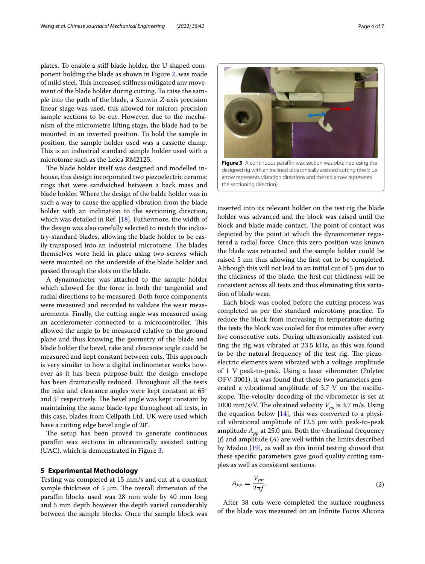plates. To enable a stif blade holder, the U shaped component holding the blade as shown in Figure [2,](#page-2-0) was made of mild steel. This increased stiffness mitigated any movement of the blade holder during cutting. To raise the sample into the path of the blade, a Sunwin *Z*-axis precision linear stage was used, this allowed for micron precision sample sections to be cut. However, due to the mechanism of the micrometre lifting stage, the blade had to be mounted in an inverted position. To hold the sample in position, the sample holder used was a cassette clamp. This is an industrial standard sample holder used with a microtome such as the Leica RM2125.

The blade holder itself was designed and modelled inhouse, this design incorporated two piezoelectric ceramic rings that were sandwiched between a back mass and blade holder. Where the design of the balde holder was in such a way to cause the applied vibration from the blade holder with an inclination to the sectioning direction, which was detailed in Ref. [\[18](#page-6-13)]. Futhermore, the width of the design was also carefully selected to match the industry-standard blades, allowing the blade holder to be easily transposed into an industrial microtome. The blades themselves were held in place using two screws which were mounted on the underside of the blade holder and passed through the slots on the blade.

A dynamometer was attached to the sample holder which allowed for the force in both the tangential and radial directions to be measured. Both force components were measured and recorded to validate the wear measurements. Finally, the cutting angle was measured using an accelerometer connected to a microcontroller. This allowed the angle to be measured relative to the ground plane and thus knowing the geometry of the blade and blade holder the bevel, rake and clearance angle could be measured and kept constant between cuts. This approach is very similar to how a digital inclinometer works however as it has been purpose-built the design envelope has been dramatically reduced. Throughout all the tests the rake and clearance angles were kept constant at 65◦ and  $5^\circ$  respectively. The bevel angle was kept constant by maintaining the same blade-type throughout all tests, in this case, blades from Cellpath Ltd. UK were used which have a cutting edge bevel angle of 20°.

The setup has been proved to generate continuous paraffin wax sections in ultrasonically assisted cutting (UAC), which is demonstrated in Figure [3.](#page-3-0)

#### **5 Experimental Methodology**

Testing was completed at 15 mm/s and cut at a constant sample thickness of 5  $\mu$ m. The overall dimension of the paraffin blocks used was 28 mm wide by 40 mm long and 5 mm depth however the depth varied considerably between the sample blocks. Once the sample block was <span id="page-3-0"></span>inserted into its relevant holder on the test rig the blade holder was advanced and the block was raised until the block and blade made contact. The point of contact was depicted by the point at which the dynamometer registered a radial force. Once this zero position was known the blade was retracted and the sample holder could be raised 5 µm thus allowing the frst cut to be completed. Although this will not lead to an initial cut of  $5 \mu m$  due to the thickness of the blade, the frst cut thickness will be consistent across all tests and thus eliminating this variation of blade wear.

Each block was cooled before the cutting process was completed as per the standard microtomy practice. To reduce the block from increasing in temperature during the tests the block was cooled for fve minutes after every fve consecutive cuts. During ultrasonically assisted cutting the rig was vibrated at 23.5 kHz, as this was found to be the natural frequency of the test rig. The piezoelectric elements were vibrated with a voltage amplitude of 1 V peak-to-peak. Using a laser vibrometer (Polytec OFV-3001), it was found that these two parameters generated a vibrational amplitude of 3.7 V on the oscilloscope. The velocity decoding of the vibrometer is set at 1000 mm/s/V. The obtained velocity  $V_{pp}$  is 3.7 m/s. Using the equation below  $[14]$  $[14]$ , this was converted to a physical vibrational amplitude of  $12.5 \mu m$  with peak-to-peak amplitude  $A_{pp}$  at 25.0 µm. Both the vibrational frequency (*f*) and amplitude (*A*) are well within the limits described by Madou [[19\]](#page-6-14), as well as this initial testing showed that these specifc parameters gave good quality cutting samples as well as consistent sections.

$$
A_{pp} = \frac{V_{pp}}{2\pi f}.
$$
 (2)

After 38 cuts were completed the surface roughness of the blade was measured on an Infnite Focus Alicona

Figure 3 A continuous paraffin wax section was obtained using the

designed rig with an inclined ultrasonically assisted cutting (the blue arrow represents vibration directions and the red arrow represents the sectioning direction)

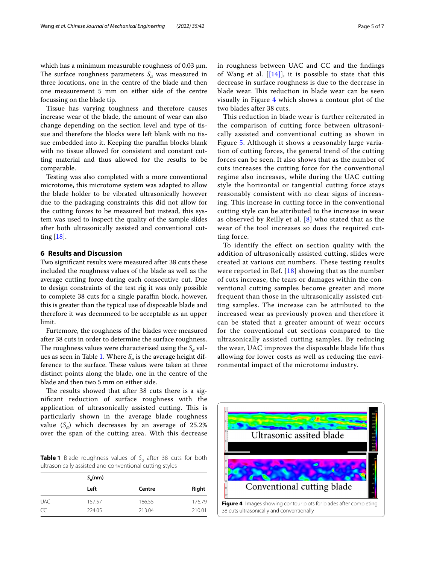which has a minimum measurable roughness of 0.03  $\mu$ m. The surface roughness parameters  $S_a$  was measured in three locations, one in the centre of the blade and then one measurement 5 mm on either side of the centre focussing on the blade tip.

Tissue has varying toughness and therefore causes increase wear of the blade, the amount of wear can also change depending on the section level and type of tissue and therefore the blocks were left blank with no tissue embedded into it. Keeping the paraffin blocks blank with no tissue allowed for consistent and constant cutting material and thus allowed for the results to be comparable.

Testing was also completed with a more conventional microtome, this microtome system was adapted to allow the blade holder to be vibrated ultrasonically however due to the packaging constraints this did not allow for the cutting forces to be measured but instead, this system was used to inspect the quality of the sample slides after both ultrasonically assisted and conventional cutting [\[18](#page-6-13)].

#### **6 Results and Discussion**

Two signifcant results were measured after 38 cuts these included the roughness values of the blade as well as the average cutting force during each consecutive cut. Due to design constraints of the test rig it was only possible to complete 38 cuts for a single paraffin block, however, this is greater than the typical use of disposable blade and therefore it was deemmeed to be acceptable as an upper limit.

Furtemore, the roughness of the blades were measured after 38 cuts in order to determine the surface roughness. The roughness values were characterised using the  $S_a$  val-ues as seen in Table [1](#page-4-0). Where  $S_a$  is the average height difference to the surface. These values were taken at three distinct points along the blade, one in the centre of the blade and then two 5 mm on either side.

The results showed that after 38 cuts there is a signifcant reduction of surface roughness with the application of ultrasonically assisted cutting. This is particularly shown in the average blade roughness value  $(S_a)$  which decreases by an average of 25.2% over the span of the cutting area. With this decrease

<span id="page-4-0"></span>**Table 1** Blade roughness values of S<sub>a</sub> after 38 cuts for both ultrasonically assisted and conventional cutting styles

|            | $S_a$ (nm) |        |        |
|------------|------------|--------|--------|
|            | Left       | Centre | Right  |
| <b>UAC</b> | 157.57     | 186.55 | 176.79 |
| CC         | 224.05     | 213.04 | 210.01 |

in roughness between UAC and CC and the fndings of Wang et al.  $[[14]]$  $[[14]]$ , it is possible to state that this decrease in surface roughness is due to the decrease in blade wear. This reduction in blade wear can be seen visually in Figure [4](#page-4-1) which shows a contour plot of the two blades after 38 cuts.

This reduction in blade wear is further reiterated in the comparison of cutting force between ultrasonically assisted and conventional cutting as shown in Figure [5.](#page-5-0) Although it shows a reasonably large variation of cutting forces, the general trend of the cutting forces can be seen. It also shows that as the number of cuts increases the cutting force for the conventional regime also increases, while during the UAC cutting style the horizontal or tangential cutting force stays reasonably consistent with no clear signs of increasing. This increase in cutting force in the conventional cutting style can be attributed to the increase in wear as observed by Reilly et al.  $[8]$  $[8]$  $[8]$  who stated that as the wear of the tool increases so does the required cutting force.

To identify the effect on section quality with the addition of ultrasonically assisted cutting, slides were created at various cut numbers. These testing results were reported in Ref. [[18\]](#page-6-13) showing that as the number of cuts increase, the tears or damages within the conventional cutting samples become greater and more frequent than those in the ultrasonically assisted cutting samples. The increase can be attributed to the increased wear as previously proven and therefore it can be stated that a greater amount of wear occurs for the conventional cut sections compared to the ultrasonically assisted cutting samples. By reducing the wear, UAC improves the disposable blade life thus allowing for lower costs as well as reducing the environmental impact of the microtome industry.

<span id="page-4-1"></span>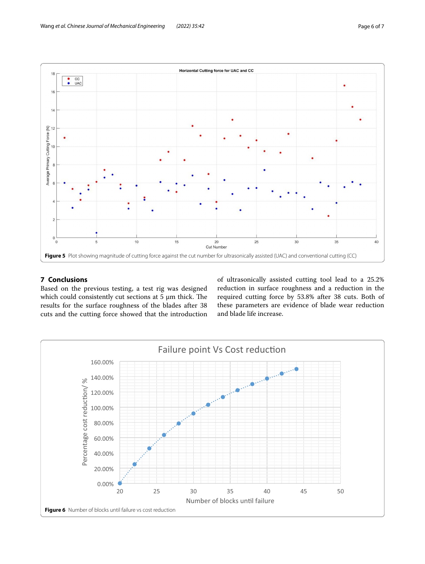

### <span id="page-5-0"></span>**7 Conclusions**

Based on the previous testing, a test rig was designed which could consistently cut sections at  $5 \mu m$  thick. The results for the surface roughness of the blades after 38 cuts and the cutting force showed that the introduction of ultrasonically assisted cutting tool lead to a 25.2% reduction in surface roughness and a reduction in the required cutting force by 53.8% after 38 cuts. Both of these parameters are evidence of blade wear reduction and blade life increase.

<span id="page-5-1"></span>